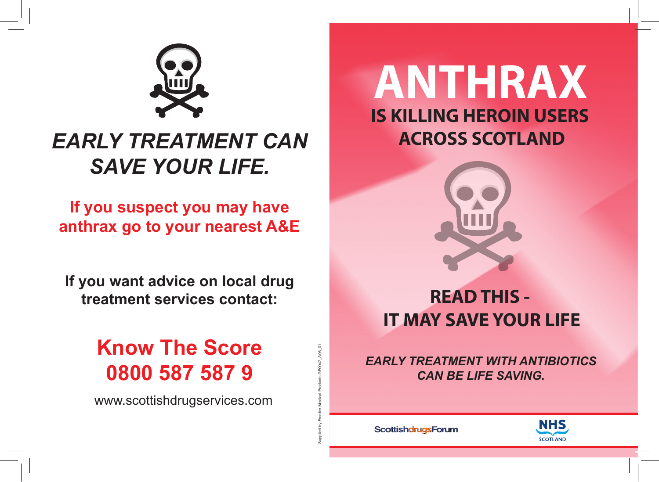

## *EARLY TREATMENT CAN SAVE YOUR LIFE.*

**If you suspect you may have anthrax go to your nearest A&E**

**If you want advice on local drug treatment services contact:**

# **Know The Score**

www.scottishdrugservices.com

## **ANTHRAX IS KILLING HEROIN USERS ACROSS SCOTLAND**



## **READ THIS - IT MAY SAVE YOUR LIFE**

**0800 587 587 9** *EARLY TREATMENT WITH ANTIBIOTICS CAN BE LIFE SAVING.*

ScottishdrugsForum

Supplied by Frontier Medical Products GP0047\_A96\_01